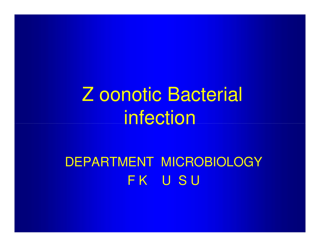Z oonotic Bacterial infection

DEPARTMENT MICROBIOLOGYFK USU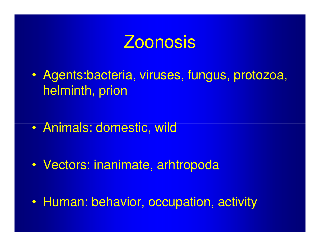# Zoonosis

- $\bullet$  Agents:bacteria, viruses, fungus, protozoa, helminth, prion
- $\bullet$ Animals: domestic, wild
- $\bullet$ Vectors: inanimate, arhtropoda
- $\bullet$ Human: behavior, occupation, activity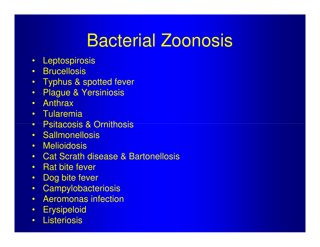# Bacterial Zoonosis

- •**Leptospirosis**
- Brucellosis
- Typhus & spotted fever
- •Plague & Yersiniosis
- Anthrax
- Tularemia
- Psitacosis & Ornithosis
- Sallmonellosis
- Melioidosis
- Cat Scrath disease & Bartonellosis
- Rat bite fever
- Dog bite fever•
- $\bullet$ **Campylobacteriosis**
- Aeromonas infection
- •**Erysipeloid**
- Listeriosis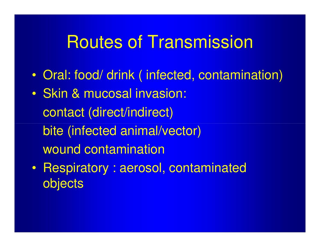# Routes of Transmission

- $\bullet$ Oral: food/ drink ( infected, contamination)
- $\bullet$  Skin & mucosal invasion: contact (direct/indirect) bite (infected animal/vector)wound contamination
- $\bullet$  Respiratory : aerosol, contaminated objects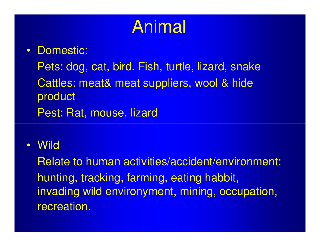# Animal

#### • Domestic:

Pets: dog, cat, bird. Fish, turtle, lizard, snakeCattles: meat& meat suppliers, wool & hide productPest: Rat, mouse, lizard

#### • Wild

Relate to human activities/accident/environment:hunting, tracking, farming, eating habbit, invading wild environyment, mining, occupation, recreation.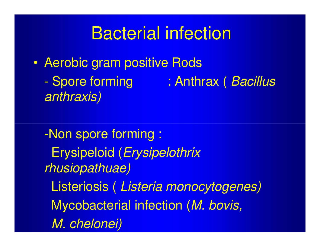# Bacterial infection

 $\bullet$ Aerobic gram positive Rods

anthraxis)

Spore forming : Anthrax (Bacillus

-Non spore forming : Erysipeloid (Erysipelothrix rhusiopathuae)Listeriosis ( Listeria monocytogenes)Mycobacterial infection (M. bovis, M. chelonei)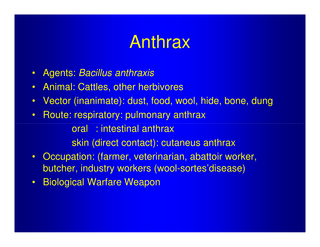# Anthrax

- $\bullet$ Agents: Bacillus anthraxis
- $\bullet$ Animal: Cattles, other herbivores
- $\bullet$ Vector (inanimate): dust, food, wool, hide, bone, dung
- $\bullet$ Route: respiratory: pulmonary anthrax

oral : intestinal anthraxskin (direct contact): cutaneus anthrax

- $\bullet$  Occupation: (farmer, veterinarian, abattoir worker, butcher, industry workers (wool-sortes'disease)
- $\bullet$ Biological Warfare Weapon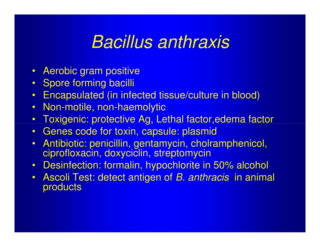#### Bacillus anthraxis

- Aerobic gram positive
- Spore forming bacilli
- •Encapsulated (in infected tissue/culture in blood)
- $\bullet$ Non-motile, non-haemolytic
- Toxigenic: protective Ag, Lethal factor,edema factor  $\bullet$
- •Genes code for toxin, capsule: plasmid
- Antibiotic: penicillin, gentamycin, cholramphenicol, ciprofloxacin, doxyciclin, streptomycin
- Desinfection: formalin, hypochlorite in 50% alcohol
- Ascoli Test: detect antigen of *B. anthracis* in animal **products**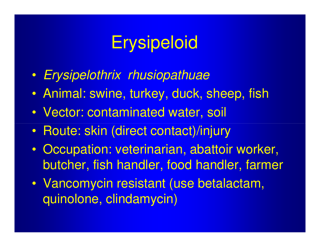# **Erysipeloid**

- $\bullet$ Erysipelothrix rhusiopathuae
- $\bullet$ Animal: swine, turkey, duck, sheep, fish
- $\bullet$ Vector: contaminated water, soil
- $\bullet$ • Route: skin (direct contact)/injury
- $\bullet$  Occupation: veterinarian, abattoir worker, butcher, fish handler, food handler, farmer
- $\bullet$  Vancomycin resistant (use betalactam, quinolone, clindamycin)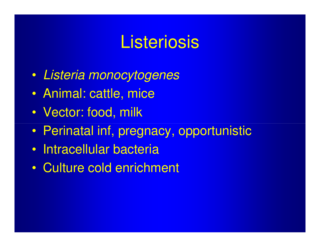#### **Listeriosis**

- $\bullet$ Listeria monocytogenes
- $\bullet$ Animal: cattle, mice
- $\bullet$ Vector: food, milk
- $\bullet$ Perinatal inf, pregnacy, opportunistic
- $\bullet$ Intracellular bacteria
- $\bullet$ Culture cold enrichment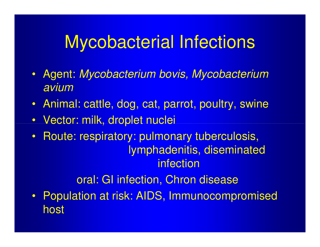# Mycobacterial Infections

- • Agent: Mycobacterium bovis, Mycobacterium avium
- Animal: cattle, dog, cat, parrot, poultry, swine
- •Vector: milk, droplet nuclei
- • Route: respiratory: pulmonary tuberculosis, lymphadenitis, diseminated infection

oral: GI infection, Chron disease

 $\bullet$  Population at risk: AIDS, Immunocompromised host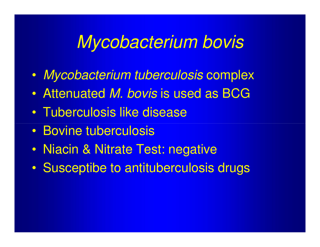#### Mycobacterium bovis

- $\bullet$ Mycobacterium tuberculosis complex
- $\bullet$ Attenuated M. bovis is used as BCG
- $\bullet$ Tuberculosis like disease
- $\bullet$ • Bovine tuberculosis
- $\bullet$ Niacin & Nitrate Test: negative
- $\bullet$ Susceptibe to antituberculosis drugs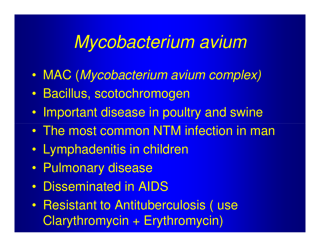#### Mycobacterium avium

- $\bullet$ MAC (Mycobacterium avium complex)
- $\bullet$ Bacillus, scotochromogen
- $\bullet$ Important disease in poultry and swine
- $\bullet$ The most common NTM infection in man
- $\bullet$ Lymphadenitis in children
- $\bullet$ Pulmonary disease
- $\bullet$ Disseminated in AIDS
- $\bullet$  Resistant to Antituberculosis ( use Clarythromycin + Erythromycin)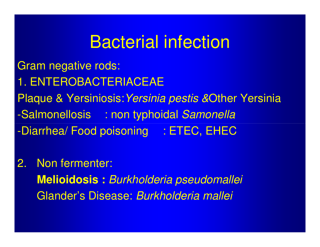#### Bacterial infection

Gram negative rods:1. ENTEROBACTERIACEAEPlaque & Yersiniosis:*Yersinia pestis &*Other Yersinia -Salmonellosis : non typhoidal Samonella-Diarrhea/ Food poisoning : ETEC, EHEC

#### 2. Non fermenter: **Melioidosis :** Burkholderia pseudomalleiGlander's Disease: Burkholderia mallei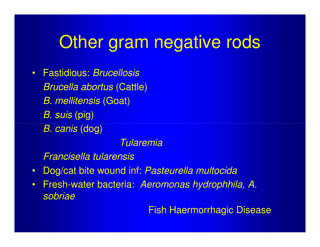# Other gram negative rods

 $\bullet$  Fastidious: BrucellosisBrucella abortus (Cattle)B. mellitensis (Goat) B. suis (pig)B. canis (dog)

#### Tularemia

Francisella tularensis

- $\bullet$ Dog/cat bite wound inf: Pasteurella multocida
- $\bullet$  Fresh-water bacteria: Aeromonas hydrophhila, A. sobriae

Fish Haermorrhagic Disease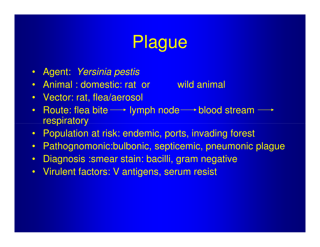# Plague

- Agent: *Yersinia pestis*
- Animal : domestic: rat or wild animal
- Vector: rat, flea/aerosol
- $\bullet$ Route: flea bite  $\longrightarrow$  lymph node  $\longrightarrow$  blood stream  $\longrightarrow$ respiratory
- Population at risk: endemic, ports, invading forest
- $\bullet$ Pathognomonic:bulbonic, septicemic, pneumonic plague
- $\bullet$ Diagnosis : smear stain: bacilli, gram negative
- $\bullet$ Virulent factors: V antigens, serum resist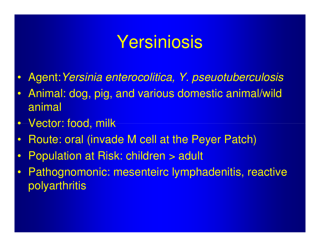# Yersiniosis

- $\bullet$ Agent:Yersinia enterocolitica, Y. pseuotuberculosis
- $\bullet$  Animal: dog, pig, and various domestic animal/wildanimal
- $\bullet$ Vector: food, milk
- $\bullet$ Route: oral (invade M cell at the Peyer Patch)
- $\bullet$ Population at Risk: children > adult
- $\bullet$  Pathognomonic: mesenteirc lymphadenitis, reactive polyarthritis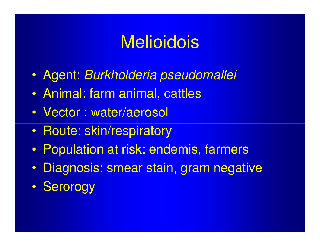# **Melioidois**

- $\bullet$ Agent: Burkholderia pseudomallei
- $\bullet$ Animal: farm animal, cattles
- $\bullet$ Vector : water/aerosol
- $\bullet$ • Route: skin/respiratory
- $\bullet$ Population at risk: endemis, farmers
- $\bullet$ Diagnosis: smear stain, gram negative
- $\bullet$ **Serorogy**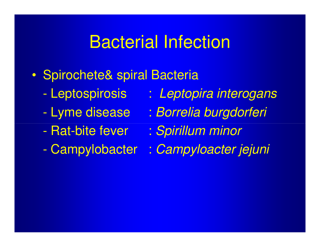#### Bacterial Infection

- $\bullet$  Spirochete& spiral Bacteria
	- -
	- Lyme disease
	- -- Rat-bite fever
	- -
- Leptospirosis : Leptopira interogans
	- : Borrelia burgdorferi
	- : Spirillum minor
- Campylobacter : Campyloacter jejuni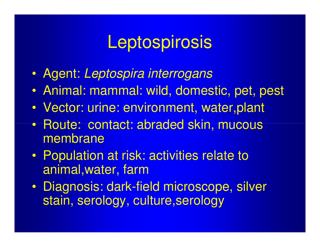# **Leptospirosis**

- $\bullet$ Agent: Leptospira interrogans
- $\bullet$ Animal: mammal: wild, domestic, pet, pest
- $\bullet$ Vector: urine: environment, water,plant
- $\bullet$ • Route: contact: abraded skin, mucous membrane
- $\bullet$  Population at risk: activities relate to animal,water, farm
- I IISANACIC' ASKAI Diagnosis: dark-field microscope, silver stain, serology, culture,serology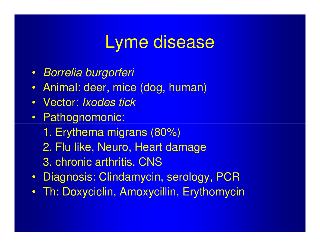# Lyme disease

- Borrelia burgorferi
- Animal: deer, mice (dog, human)
- $\bullet$ Vector: Ixodes tick
- Pathognomonic:
	- 1. Erythema migrans (80%)
	- 2. Flu like, Neuro, Heart damage
	- 3. chronic arthritis, CNS
- Diagnosis: Clindamycin, serology, PCR•
- Th: Doxyciclin, Amoxycillin, Erythomycin $\bullet$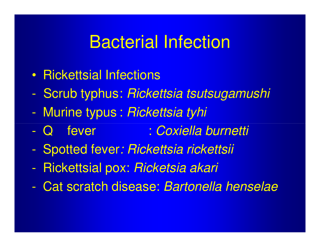#### Bacterial Infection

- $\bullet$ Rickettsial Infections
- -Scrub typhus: Rickettsia tsutsugamushi
- -Murine typus : Rickettsia tyhi
- -Q fever : Coxiella burnetti
- -Spotted fever: Rickettsia rickettsii
- -Rickettsial pox: Ricketsia akari
- -Cat scratch disease: Bartonella henselae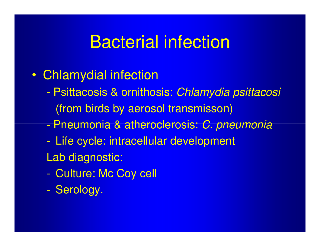# Bacterial infection

- $\bullet$  Chlamydial infection
	- Psittacosis & ornithosis: Chlamydia psittacosi (from birds by aerosol transmisson)
	- **-**- Pneumonia & atheroclerosis: *C. pneumonia*
	- - Life cycle: intracellular development Lab diagnostic:
	- -Culture: Mc Coy cell
	- **-**Serology.